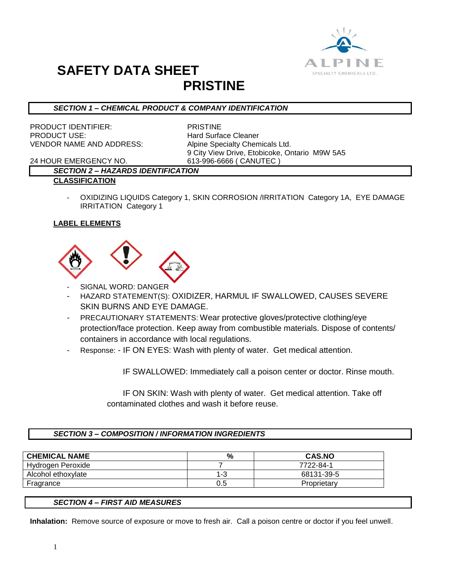

# **SAFETY DATA SHEET PRISTINE**

## *SECTION 1 – CHEMICAL PRODUCT & COMPANY IDENTIFICATION*

PRODUCT IDENTIFIER: PRISTINE PRODUCT USE: Hard Surface Cleaner VENDOR NAME AND ADDRESS: Alpine Specialty Chemicals Ltd.

9 City View Drive, Etobicoke, Ontario M9W 5A5

24 HOUR EMERGENCY NO. 613-996-6666 ( CANUTEC )

### *SECTION 2 – HAZARDS IDENTIFICATION* **CLASSIFICATION**

- OXIDIZING LIQUIDS Category 1, SKIN CORROSION /IRRITATION Category 1A, EYE DAMAGE IRRITATION Category 1

### **LABEL ELEMENTS**



- SIGNAL WORD: DANGER
- HAZARD STATEMENT(S): OXIDIZER, HARMUL IF SWALLOWED, CAUSES SEVERE SKIN BURNS AND EYE DAMAGE.
- PRECAUTIONARY STATEMENTS: Wear protective gloves/protective clothing/eye protection/face protection. Keep away from combustible materials. Dispose of contents/ containers in accordance with local regulations.
- Response: IF ON EYES: Wash with plenty of water. Get medical attention.

IF SWALLOWED: Immediately call a poison center or doctor. Rinse mouth.

 IF ON SKIN: Wash with plenty of water. Get medical attention. Take off contaminated clothes and wash it before reuse.

### *SECTION 3 – COMPOSITION / INFORMATION INGREDIENTS*

| <b>CHEMICAL NAME</b> | %   | <b>CAS.NO</b> |
|----------------------|-----|---------------|
| Hydrogen Peroxide    |     | 7722-84-1     |
| Alcohol ethoxylate   | 1-3 | 68131-39-5    |
| Fragrance            | 0.5 | Proprietary   |

#### *SECTION 4 – FIRST AID MEASURES*

**Inhalation:** Remove source of exposure or move to fresh air. Call a poison centre or doctor if you feel unwell.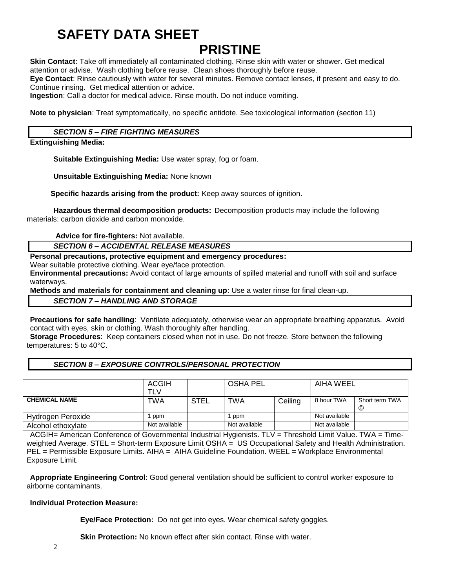# **SAFETY DATA SHEET**

# **PRISTINE**

**Skin Contact**: Take off immediately all contaminated clothing. Rinse skin with water or shower. Get medical attention or advise. Wash clothing before reuse. Clean shoes thoroughly before reuse. **Eye Contact**: Rinse cautiously with water for several minutes. Remove contact lenses, if present and easy to do.

Continue rinsing. Get medical attention or advice.

**Ingestion**: Call a doctor for medical advice. Rinse mouth. Do not induce vomiting.

**Note to physician**: Treat symptomatically, no specific antidote. See toxicological information (section 11)

### *SECTION 5 – FIRE FIGHTING MEASURES*

**Extinguishing Media:**

**Suitable Extinguishing Media:** Use water spray, fog or foam.

**Unsuitable Extinguishing Media:** None known

 **Specific hazards arising from the product:** Keep away sources of ignition.

**Hazardous thermal decomposition products:** Decomposition products may include the following materials: carbon dioxide and carbon monoxide.

**Advice for fire-fighters:** Not available.

*SECTION 6 – ACCIDENTAL RELEASE MEASURES*

**Personal precautions, protective equipment and emergency procedures:**

Wear suitable protective clothing. Wear eye/face protection.

**Environmental precautions:** Avoid contact of large amounts of spilled material and runoff with soil and surface waterways.

**Methods and materials for containment and cleaning up**: Use a water rinse for final clean-up.

*SECTION 7 – HANDLING AND STORAGE*

**Precautions for safe handling**: Ventilate adequately, otherwise wear an appropriate breathing apparatus. Avoid contact with eyes, skin or clothing. Wash thoroughly after handling.

**Storage Procedures**: Keep containers closed when not in use. Do not freeze. Store between the following temperatures: 5 to 40°C.

## *SECTION 8 – EXPOSURE CONTROLS/PERSONAL PROTECTION*

|                      | ACGIH<br><b>TLV</b> |             | <b>OSHA PEL</b> |         | AIHA WEEL     |                     |
|----------------------|---------------------|-------------|-----------------|---------|---------------|---------------------|
| <b>CHEMICAL NAME</b> | TWA                 | <b>STEL</b> | <b>TWA</b>      | Ceiling | 8 hour TWA    | Short term TWA<br>© |
| Hydrogen Peroxide    | ppm                 |             | 1 ppm           |         | Not available |                     |
| Alcohol ethoxylate   | Not available       |             | Not available   |         | Not available |                     |

ACGIH= American Conference of Governmental Industrial Hygienists. TLV = Threshold Limit Value. TWA = Timeweighted Average. STEL = Short-term Exposure Limit OSHA = US Occupational Safety and Health Administration. PEL = Permissible Exposure Limits. AIHA = AIHA Guideline Foundation. WEEL = Workplace Environmental Exposure Limit.

**Appropriate Engineering Control**: Good general ventilation should be sufficient to control worker exposure to airborne contaminants.

#### **Individual Protection Measure:**

**Eye/Face Protection:** Do not get into eyes. Wear chemical safety goggles.

**Skin Protection:** No known effect after skin contact. Rinse with water.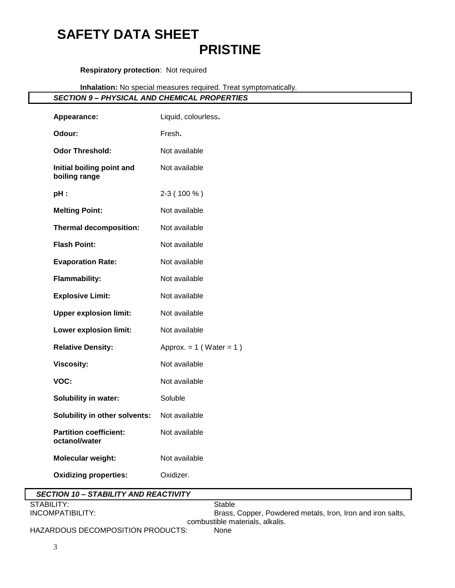# **SAFETY DATA SHEET PRISTINE**

# **Respiratory protection**: Not required

**Inhalation:** No special measures required. Treat symptomatically.

## *SECTION 9 – PHYSICAL AND CHEMICAL PROPERTIES*

| Appearance:                                    | Liquid, colourless.          |  |
|------------------------------------------------|------------------------------|--|
| Odour:                                         | Fresh.                       |  |
| <b>Odor Threshold:</b>                         | Not available                |  |
| Initial boiling point and<br>boiling range     | Not available                |  |
| pH:                                            | 2-3 (100 %)                  |  |
| <b>Melting Point:</b>                          | Not available                |  |
| <b>Thermal decomposition:</b>                  | Not available                |  |
| <b>Flash Point:</b>                            | Not available                |  |
| <b>Evaporation Rate:</b>                       | Not available                |  |
| <b>Flammability:</b>                           | Not available                |  |
| <b>Explosive Limit:</b>                        | Not available                |  |
| <b>Upper explosion limit:</b>                  | Not available                |  |
| Lower explosion limit:                         | Not available                |  |
| <b>Relative Density:</b>                       | Approx. $= 1$ (Water $= 1$ ) |  |
| <b>Viscosity:</b>                              | Not available                |  |
| VOC:                                           | Not available                |  |
| Solubility in water:                           | Soluble                      |  |
| Solubility in other solvents:                  | Not available                |  |
| <b>Partition coefficient:</b><br>octanol/water | Not available                |  |
| Molecular weight:                              | Not available                |  |
| <b>Oxidizing properties:</b>                   | Oxidizer.                    |  |

| <b>SECTION 10 - STABILITY AND REACTIVITY</b> |                                                            |
|----------------------------------------------|------------------------------------------------------------|
| STABILITY:                                   | Stable                                                     |
| INCOMPATIBILITY:                             | Brass, Copper, Powdered metals, Iron, Iron and iron salts, |
|                                              | combustible materials, alkalis,                            |
| HAZARDOUS DECOMPOSITION PRODUCTS:            | <b>None</b>                                                |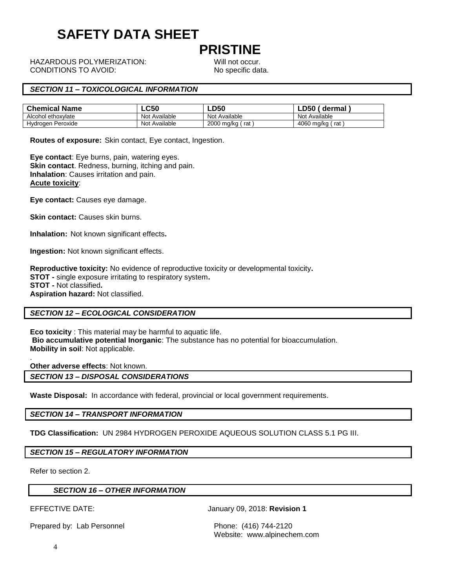# **SAFETY DATA SHEET**

# **PRISTINE**

HAZARDOUS POLYMERIZATION: Will not occur. CONDITIONS TO AVOID: No specific data.

## *SECTION 11 – TOXICOLOGICAL INFORMATION*

| <b>Chemical Name</b> | LC50          | LD50                  | ∟D50<br>dermal       |
|----------------------|---------------|-----------------------|----------------------|
| Alcohol ethoxylate   | Not Available | . Available<br>Not    | Available<br>Not     |
| Peroxide<br>Hydrogen | Not Available | 2000<br>™ma/ka<br>rat | 4060<br>ma/ka<br>rat |

**Routes of exposure:** Skin contact, Eye contact, Ingestion.

**Eye contact**: Eye burns, pain, watering eyes. **Skin contact**. Redness, burning, itching and pain. **Inhalation**: Causes irritation and pain. **Acute toxicity**:

**Eye contact:** Causes eye damage.

**Skin contact:** Causes skin burns.

**Inhalation:** Not known significant effects**.**

**Ingestion:** Not known significant effects.

**Reproductive toxicity:** No evidence of reproductive toxicity or developmental toxicity**. STOT -** single exposure irritating to respiratory system**. STOT -** Not classified**. Aspiration hazard:** Not classified.

#### *SECTION 12 – ECOLOGICAL CONSIDERATION*

**Eco toxicity** : This material may be harmful to aquatic life. **Bio accumulative potential Inorganic**: The substance has no potential for bioaccumulation. **Mobility in soil**: Not applicable.

**Other adverse effects**: Not known.

*SECTION 13 – DISPOSAL CONSIDERATIONS*

**Waste Disposal:** In accordance with federal, provincial or local government requirements.

*SECTION 14 – TRANSPORT INFORMATION*

**TDG Classification:** UN 2984 HYDROGEN PEROXIDE AQUEOUS SOLUTION CLASS 5.1 PG III.

*SECTION 15 – REGULATORY INFORMATION*

Refer to section 2.

.

#### *SECTION 16 – OTHER INFORMATION*

EFFECTIVE DATE: January 09, 2018: **Revision 1**

Prepared by: Lab Personnel Phone: (416) 744-2120

Website: www.alpinechem.com